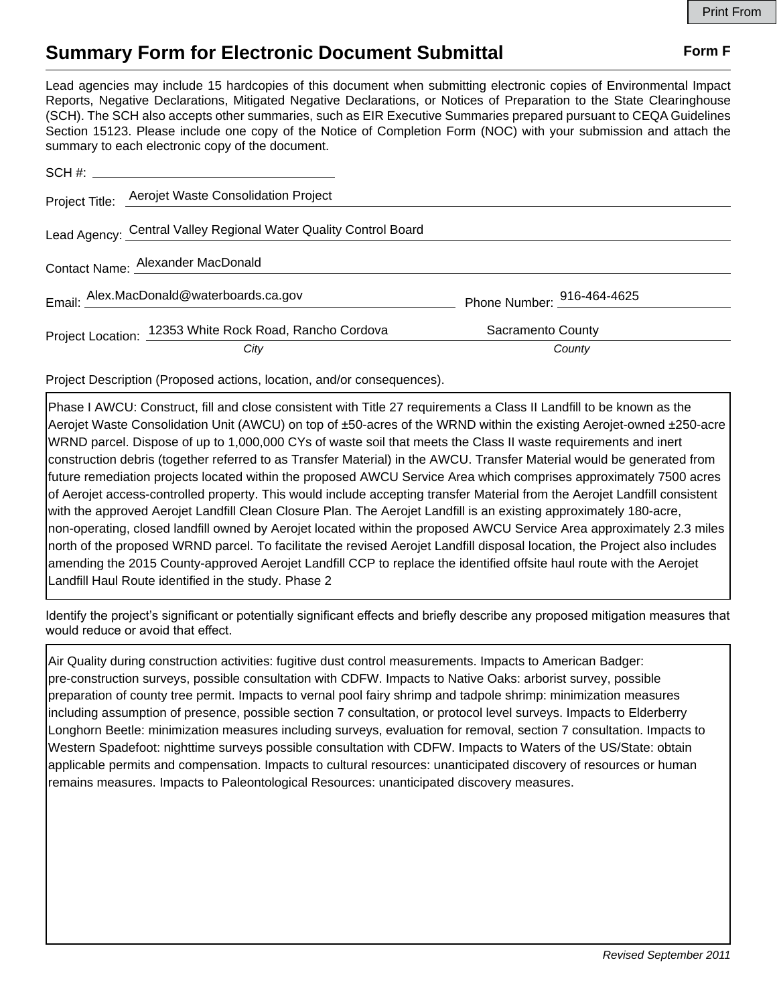## **Summary Form for Electronic Document Submittal Form F Form F**

Lead agencies may include 15 hardcopies of this document when submitting electronic copies of Environmental Impact Reports, Negative Declarations, Mitigated Negative Declarations, or Notices of Preparation to the State Clearinghouse (SCH). The SCH also accepts other summaries, such as EIR Executive Summaries prepared pursuant to CEQA Guidelines Section 15123. Please include one copy of the Notice of Completion Form (NOC) with your submission and attach the summary to each electronic copy of the document.

|                                   | Project Title: Aerojet Waste Consolidation Project               |                            |  |
|-----------------------------------|------------------------------------------------------------------|----------------------------|--|
|                                   | Lead Agency: Central Valley Regional Water Quality Control Board |                            |  |
| Contact Name: Alexander MacDonald |                                                                  |                            |  |
|                                   | Email: Alex.MacDonald@waterboards.ca.gov                         | Phone Number: 916-464-4625 |  |
|                                   | Project Location: 12353 White Rock Road, Rancho Cordova          | Sacramento County          |  |
|                                   | City                                                             | County                     |  |

Project Description (Proposed actions, location, and/or consequences).

Phase I AWCU: Construct, fill and close consistent with Title 27 requirements a Class II Landfill to be known as the Aerojet Waste Consolidation Unit (AWCU) on top of ±50-acres of the WRND within the existing Aerojet-owned ±250-acre WRND parcel. Dispose of up to 1,000,000 CYs of waste soil that meets the Class II waste requirements and inert construction debris (together referred to as Transfer Material) in the AWCU. Transfer Material would be generated from future remediation projects located within the proposed AWCU Service Area which comprises approximately 7500 acres of Aerojet access-controlled property. This would include accepting transfer Material from the Aerojet Landfill consistent with the approved Aerojet Landfill Clean Closure Plan. The Aerojet Landfill is an existing approximately 180-acre, non-operating, closed landfill owned by Aerojet located within the proposed AWCU Service Area approximately 2.3 miles north of the proposed WRND parcel. To facilitate the revised Aerojet Landfill disposal location, the Project also includes amending the 2015 County-approved Aerojet Landfill CCP to replace the identified offsite haul route with the Aerojet Landfill Haul Route identified in the study. Phase 2

Identify the project's significant or potentially significant effects and briefly describe any proposed mitigation measures that would reduce or avoid that effect.

Air Quality during construction activities: fugitive dust control measurements. Impacts to American Badger: pre-construction surveys, possible consultation with CDFW. Impacts to Native Oaks: arborist survey, possible preparation of county tree permit. Impacts to vernal pool fairy shrimp and tadpole shrimp: minimization measures including assumption of presence, possible section 7 consultation, or protocol level surveys. Impacts to Elderberry Longhorn Beetle: minimization measures including surveys, evaluation for removal, section 7 consultation. Impacts to Western Spadefoot: nighttime surveys possible consultation with CDFW. Impacts to Waters of the US/State: obtain applicable permits and compensation. Impacts to cultural resources: unanticipated discovery of resources or human remains measures. Impacts to Paleontological Resources: unanticipated discovery measures.